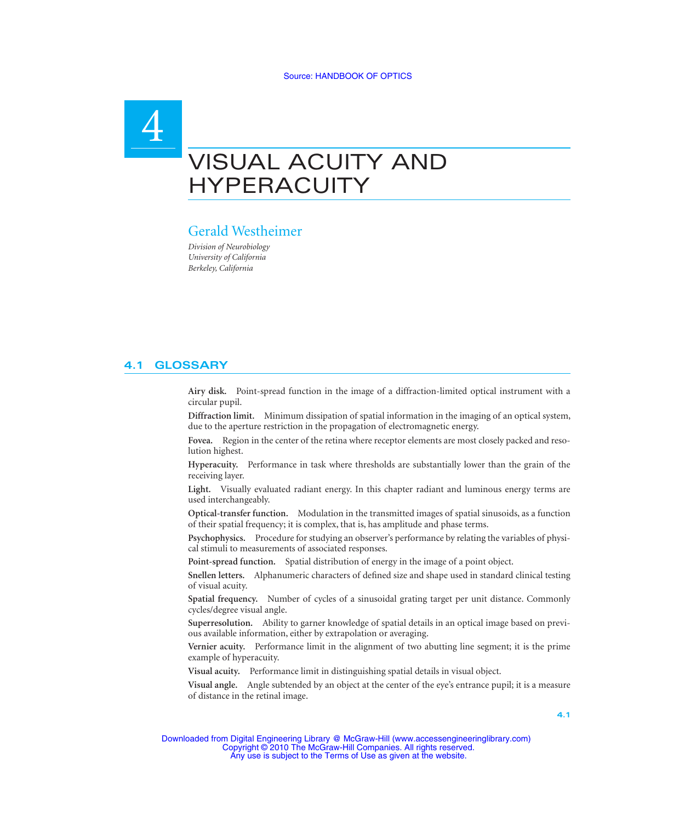

# VISUAL ACUITY AND HYPERACUITY

## Gerald Westheimer

*Division of Neurobiology University of California Berkeley, California*

## **4.1 GLOSSARY**

**Airy disk.** Point-spread function in the image of a diffraction-limited optical instrument with a circular pupil.

**Diffraction limit.** Minimum dissipation of spatial information in the imaging of an optical system, due to the aperture restriction in the propagation of electromagnetic energy.

**Fovea.** Region in the center of the retina where receptor elements are most closely packed and resolution highest.

**Hyperacuity.** Performance in task where thresholds are substantially lower than the grain of the receiving layer.

**Light.** Visually evaluated radiant energy. In this chapter radiant and luminous energy terms are used interchangeably.

**Optical-transfer function.** Modulation in the transmitted images of spatial sinusoids, as a function of their spatial frequency; it is complex, that is, has amplitude and phase terms.

**Psychophysics.** Procedure for studying an observer's performance by relating the variables of physical stimuli to measurements of associated responses.

**Point-spread function.** Spatial distribution of energy in the image of a point object.

**Snellen letters.** Alphanumeric characters of defined size and shape used in standard clinical testing of visual acuity.

**Spatial frequency.** Number of cycles of a sinusoidal grating target per unit distance. Commonly cycles/degree visual angle.

**Superresolution.** Ability to garner knowledge of spatial details in an optical image based on previous available information, either by extrapolation or averaging.

**Vernier acuity.** Performance limit in the alignment of two abutting line segment; it is the prime example of hyperacuity.

**Visual acuity.** Performance limit in distinguishing spatial details in visual object.

**Visual angle.** Angle subtended by an object at the center of the eye's entrance pupil; it is a measure of distance in the retinal image.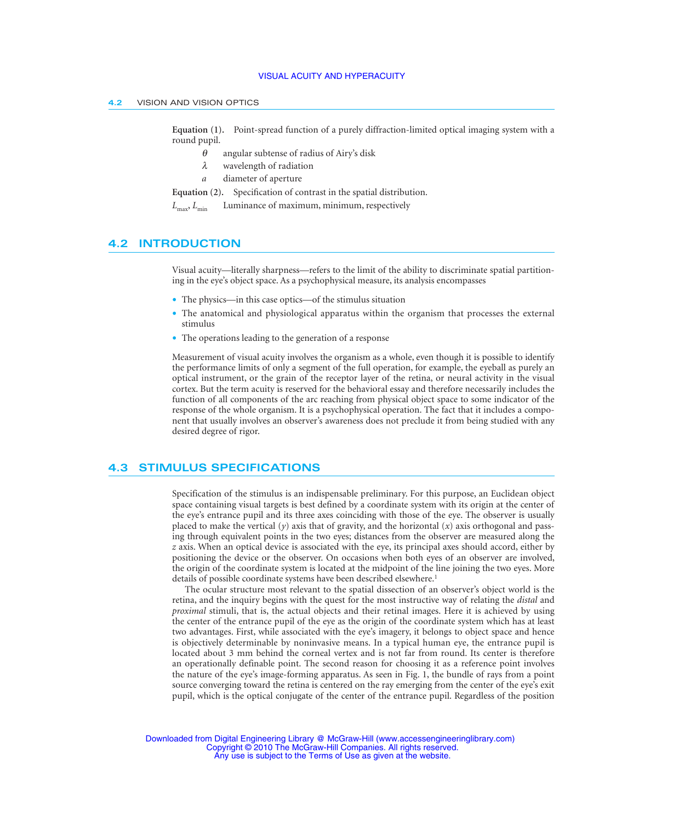**Equation (1).** Point-spread function of a purely diffraction-limited optical imaging system with a round pupil.

- $\theta$  angular subtense of radius of Airy's disk
- *l* wavelength of radiation
- *a* diameter of aperture

Equation (2). Specification of contrast in the spatial distribution.

*L*<sub>max</sub>, *L*<sub>min</sub> Luminance of maximum, minimum, respectively

## **4.2 INTRODUCTION**

Visual acuity—literally sharpness—refers to the limit of the ability to discriminate spatial partitioning in the eye's object space. As a psychophysical measure, its analysis encompasses

- The physics—in this case optics—of the stimulus situation
- The anatomical and physiological apparatus within the organism that processes the external stimulus
- The operations leading to the generation of a response

Measurement of visual acuity involves the organism as a whole, even though it is possible to identify the performance limits of only a segment of the full operation, for example, the eyeball as purely an optical instrument, or the grain of the receptor layer of the retina, or neural activity in the visual cortex. But the term acuity is reserved for the behavioral essay and therefore necessarily includes the function of all components of the arc reaching from physical object space to some indicator of the response of the whole organism. It is a psychophysical operation. The fact that it includes a component that usually involves an observer's awareness does not preclude it from being studied with any desired degree of rigor.

## **4.3 STIMULUS SPECIFICATIONS**

Specification of the stimulus is an indispensable preliminary. For this purpose, an Euclidean object space containing visual targets is best defined by a coordinate system with its origin at the center of the eye's entrance pupil and its three axes coinciding with those of the eye. The observer is usually placed to make the vertical  $(y)$  axis that of gravity, and the horizontal  $(x)$  axis orthogonal and passing through equivalent points in the two eyes; distances from the observer are measured along the *z* axis. When an optical device is associated with the eye, its principal axes should accord, either by positioning the device or the observer. On occasions when both eyes of an observer are involved, the origin of the coordinate system is located at the midpoint of the line joining the two eyes. More details of possible coordinate systems have been described elsewhere.<sup>1</sup>

The ocular structure most relevant to the spatial dissection of an observer's object world is the retina, and the inquiry begins with the quest for the most instructive way of relating the *distal* and *proximal* stimuli, that is, the actual objects and their retinal images. Here it is achieved by using the center of the entrance pupil of the eye as the origin of the coordinate system which has at least two advantages. First, while associated with the eye's imagery, it belongs to object space and hence is objectively determinable by noninvasive means. In a typical human eye, the entrance pupil is located about 3 mm behind the corneal vertex and is not far from round. Its center is therefore an operationally definable point. The second reason for choosing it as a reference point involves the nature of the eye's image-forming apparatus. As seen in Fig. 1, the bundle of rays from a point source converging toward the retina is centered on the ray emerging from the center of the eye's exit pupil, which is the optical conjugate of the center of the entrance pupil. Regardless of the position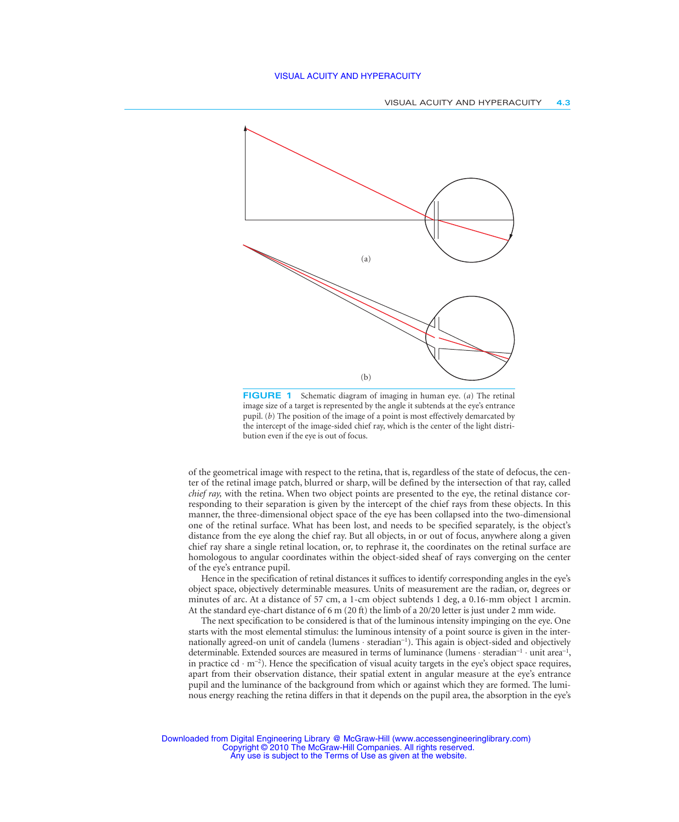

**FIGURE 1** Schematic diagram of imaging in human eye. (*a*) The retinal image size of a target is represented by the angle it subtends at the eye's entrance pupil. (*b*) The position of the image of a point is most effectively demarcated by the intercept of the image-sided chief ray, which is the center of the light distribution even if the eye is out of focus.

of the geometrical image with respect to the retina, that is, regardless of the state of defocus, the center of the retinal image patch, blurred or sharp, will be defined by the intersection of that ray, called *chief ray,* with the retina. When two object points are presented to the eye, the retinal distance corresponding to their separation is given by the intercept of the chief rays from these objects. In this manner, the three-dimensional object space of the eye has been collapsed into the two-dimensional one of the retinal surface. What has been lost, and needs to be specified separately, is the object's distance from the eye along the chief ray. But all objects, in or out of focus, anywhere along a given chief ray share a single retinal location, or, to rephrase it, the coordinates on the retinal surface are homologous to angular coordinates within the object-sided sheaf of rays converging on the center of the eye's entrance pupil.

Hence in the specification of retinal distances it suffices to identify corresponding angles in the eye's object space, objectively determinable measures. Units of measurement are the radian, or, degrees or minutes of arc. At a distance of 57 cm, a 1-cm object subtends 1 deg, a 0.16-mm object 1 arcmin. At the standard eye-chart distance of 6 m (20 ft) the limb of a 20/20 letter is just under 2 mm wide.

The next specification to be considered is that of the luminous intensity impinging on the eye. One starts with the most elemental stimulus: the luminous intensity of a point source is given in the internationally agreed-on unit of candela (lumens · steradian<sup>-1</sup>). This again is object-sided and objectively determinable. Extended sources are measured in terms of luminance (lumens ⋅ steradian<sup>−</sup><sup>1</sup> ⋅ unit area<sup>−</sup><sup>1</sup> , in practice cd  $\cdot$  m<sup>-2</sup>). Hence the specification of visual acuity targets in the eye's object space requires, apart from their observation distance, their spatial extent in angular measure at the eye's entrance pupil and the luminance of the background from which or against which they are formed. The luminous energy reaching the retina differs in that it depends on the pupil area, the absorption in the eye's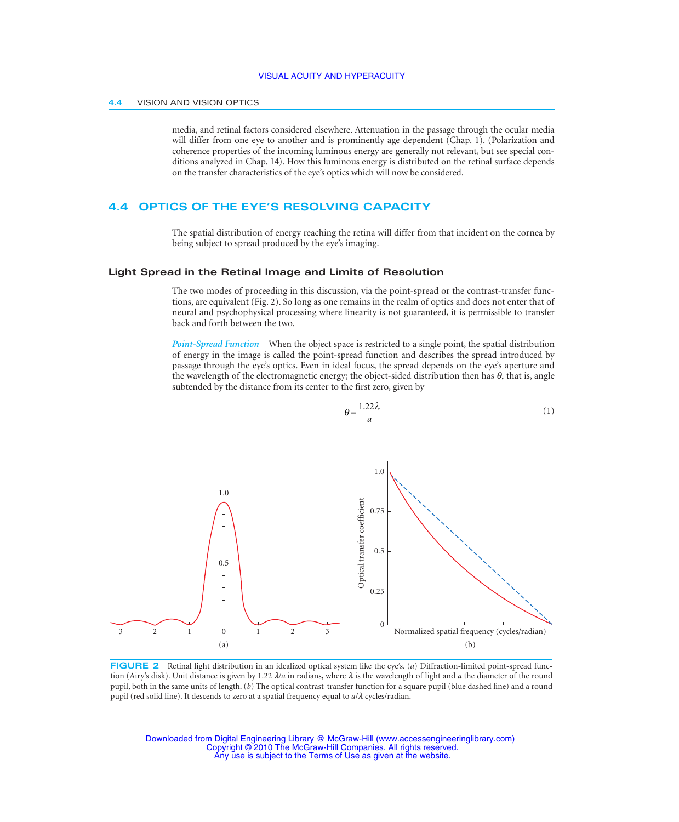media, and retinal factors considered elsewhere. Attenuation in the passage through the ocular media will differ from one eye to another and is prominently age dependent (Chap. 1). (Polarization and coherence properties of the incoming luminous energy are generally not relevant, but see special conditions analyzed in Chap. 14). How this luminous energy is distributed on the retinal surface depends on the transfer characteristics of the eye's optics which will now be considered.

## **4.4 OPTICS OF THE EYE'S RESOLVING CAPACITY**

The spatial distribution of energy reaching the retina will differ from that incident on the cornea by being subject to spread produced by the eye's imaging.

#### **Light Spread in the Retinal Image and Limits of Resolution**

The two modes of proceeding in this discussion, via the point-spread or the contrast-transfer functions, are equivalent (Fig. 2). So long as one remains in the realm of optics and does not enter that of neural and psychophysical processing where linearity is not guaranteed, it is permissible to transfer back and forth between the two.

*Point-Spread Function* When the object space is restricted to a single point, the spatial distribution of energy in the image is called the point-spread function and describes the spread introduced by passage through the eye's optics. Even in ideal focus, the spread depends on the eye's aperture and the wavelength of the electromagnetic energy; the object-sided distribution then has  $\theta$ , that is, angle subtended by the distance from its center to the first zero, given by



**FIGURE 2** Retinal light distribution in an idealized optical system like the eye's. (a) Diffraction-limited point-spread function (Airy's disk). Unit distance is given by 1.22  $\lambda/a$  in radians, where  $\lambda$  is the wavelength of light and *a* the diameter of the round pupil, both in the same units of length. (*b*) The optical contrast-transfer function for a square pupil (blue dashed line) and a round pupil (red solid line). It descends to zero at a spatial frequency equal to *a*/*l* cycles/radian.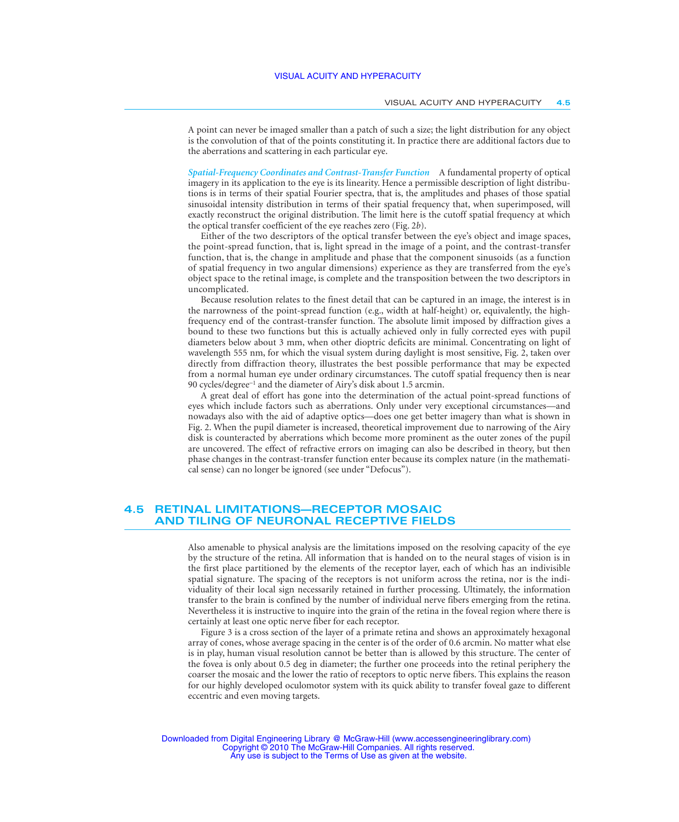A point can never be imaged smaller than a patch of such a size; the light distribution for any object is the convolution of that of the points constituting it. In practice there are additional factors due to the aberrations and scattering in each particular eye.

*Spatial-Frequency Coordinates and Contrast-Transfer Function* A fundamental property of optical imagery in its application to the eye is its linearity. Hence a permissible description of light distributions is in terms of their spatial Fourier spectra, that is, the amplitudes and phases of those spatial sinusoidal intensity distribution in terms of their spatial frequency that, when superimposed, will exactly reconstruct the original distribution. The limit here is the cutoff spatial frequency at which the optical transfer coefficient of the eye reaches zero (Fig. 2*b*).

Either of the two descriptors of the optical transfer between the eye's object and image spaces, the point-spread function, that is, light spread in the image of a point, and the contrast-transfer function, that is, the change in amplitude and phase that the component sinusoids (as a function of spatial frequency in two angular dimensions) experience as they are transferred from the eye's object space to the retinal image, is complete and the transposition between the two descriptors in uncomplicated.

Because resolution relates to the finest detail that can be captured in an image, the interest is in the narrowness of the point-spread function (e.g., width at half-height) or, equivalently, the highfrequency end of the contrast-transfer function. The absolute limit imposed by diffraction gives a bound to these two functions but this is actually achieved only in fully corrected eyes with pupil diameters below about 3 mm, when other dioptric deficits are minimal. Concentrating on light of wavelength 555 nm, for which the visual system during daylight is most sensitive, Fig. 2, taken over directly from diffraction theory, illustrates the best possible performance that may be expected from a normal human eye under ordinary circumstances. The cutoff spatial frequency then is near 90 cycles/degree<sup>-1</sup> and the diameter of Airy's disk about 1.5 arcmin.

A great deal of effort has gone into the determination of the actual point-spread functions of eyes which include factors such as aberrations. Only under very exceptional circumstances—and nowadays also with the aid of adaptive optics—does one get better imagery than what is shown in Fig. 2. When the pupil diameter is increased, theoretical improvement due to narrowing of the Airy disk is counteracted by aberrations which become more prominent as the outer zones of the pupil are uncovered. The effect of refractive errors on imaging can also be described in theory, but then phase changes in the contrast-transfer function enter because its complex nature (in the mathematical sense) can no longer be ignored (see under "Defocus").

## **4.5 RETINAL LIMITATIONS—RECEPTOR MOSAIC AND TILING OF NEURONAL RECEPTIVE FIELDS**

Also amenable to physical analysis are the limitations imposed on the resolving capacity of the eye by the structure of the retina. All information that is handed on to the neural stages of vision is in the first place partitioned by the elements of the receptor layer, each of which has an indivisible spatial signature. The spacing of the receptors is not uniform across the retina, nor is the individuality of their local sign necessarily retained in further processing. Ultimately, the information transfer to the brain is confined by the number of individual nerve fibers emerging from the retina. Nevertheless it is instructive to inquire into the grain of the retina in the foveal region where there is certainly at least one optic nerve fiber for each receptor.

Figure 3 is a cross section of the layer of a primate retina and shows an approximately hexagonal array of cones, whose average spacing in the center is of the order of 0.6 arcmin. No matter what else is in play, human visual resolution cannot be better than is allowed by this structure. The center of the fovea is only about 0.5 deg in diameter; the further one proceeds into the retinal periphery the coarser the mosaic and the lower the ratio of receptors to optic nerve fibers. This explains the reason for our highly developed oculomotor system with its quick ability to transfer foveal gaze to different eccentric and even moving targets.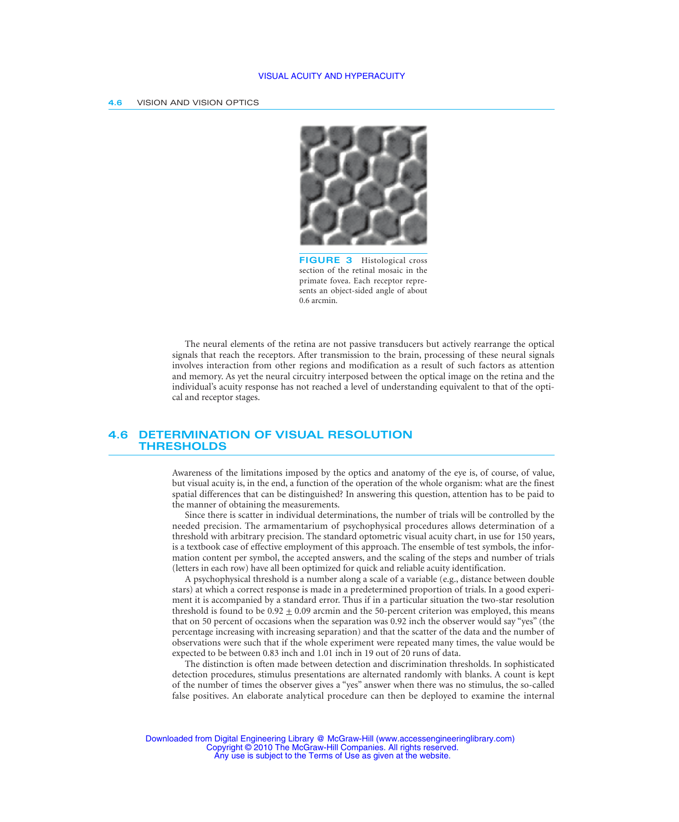

**FIGURE 3** Histological cross section of the retinal mosaic in the primate fovea. Each receptor represents an object-sided angle of about 0.6 arcmin.

The neural elements of the retina are not passive transducers but actively rearrange the optical signals that reach the receptors. After transmission to the brain, processing of these neural signals involves interaction from other regions and modification as a result of such factors as attention and memory. As yet the neural circuitry interposed between the optical image on the retina and the individual's acuity response has not reached a level of understanding equivalent to that of the optical and receptor stages.

## **4.6 DETERMINATION OF VISUAL RESOLUTION THRESHOLDS**

Awareness of the limitations imposed by the optics and anatomy of the eye is, of course, of value, but visual acuity is, in the end, a function of the operation of the whole organism: what are the finest spatial differences that can be distinguished? In answering this question, attention has to be paid to the manner of obtaining the measurements.

Since there is scatter in individual determinations, the number of trials will be controlled by the needed precision. The armamentarium of psychophysical procedures allows determination of a threshold with arbitrary precision. The standard optometric visual acuity chart, in use for 150 years, is a textbook case of effective employment of this approach. The ensemble of test symbols, the information content per symbol, the accepted answers, and the scaling of the steps and number of trials (letters in each row) have all been optimized for quick and reliable acuity identification.

A psychophysical threshold is a number along a scale of a variable (e.g., distance between double stars) at which a correct response is made in a predetermined proportion of trials. In a good experiment it is accompanied by a standard error. Thus if in a particular situation the two-star resolution threshold is found to be  $0.92 \pm 0.09$  arcmin and the 50-percent criterion was employed, this means that on 50 percent of occasions when the separation was 0.92 inch the observer would say "yes" (the percentage increasing with increasing separation) and that the scatter of the data and the number of observations were such that if the whole experiment were repeated many times, the value would be expected to be between 0.83 inch and 1.01 inch in 19 out of 20 runs of data.

The distinction is often made between detection and discrimination thresholds. In sophisticated detection procedures, stimulus presentations are alternated randomly with blanks. A count is kept of the number of times the observer gives a "yes" answer when there was no stimulus, the so-called false positives. An elaborate analytical procedure can then be deployed to examine the internal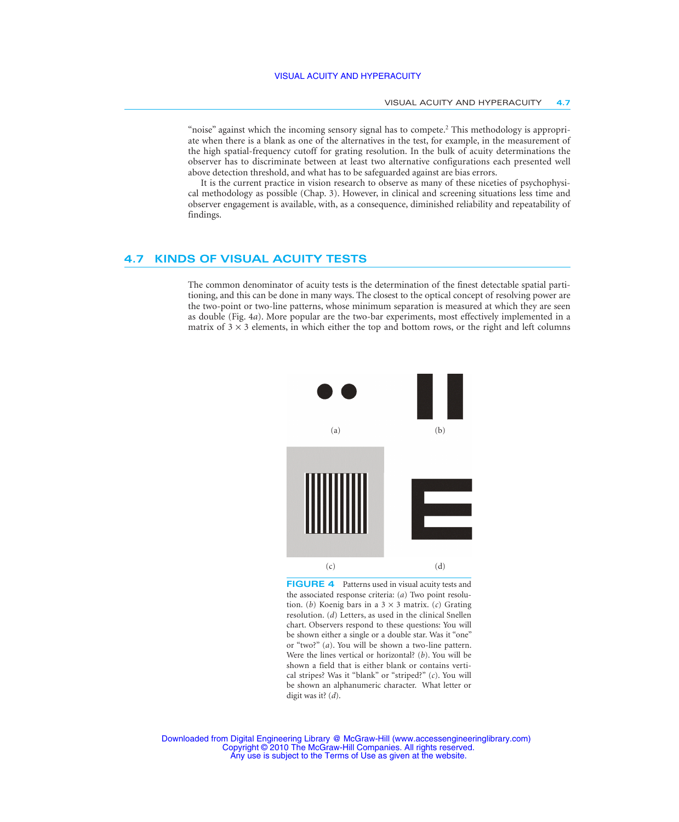"noise" against which the incoming sensory signal has to compete.<sup>2</sup> This methodology is appropriate when there is a blank as one of the alternatives in the test, for example, in the measurement of the high spatial-frequency cutoff for grating resolution. In the bulk of acuity determinations the observer has to discriminate between at least two alternative configurations each presented well above detection threshold, and what has to be safeguarded against are bias errors.

It is the current practice in vision research to observe as many of these niceties of psychophysical methodology as possible (Chap. 3). However, in clinical and screening situations less time and observer engagement is available, with, as a consequence, diminished reliability and repeatability of findings.

## **4.7 KINDS OF VISUAL ACUITY TESTS**

The common denominator of acuity tests is the determination of the finest detectable spatial partitioning, and this can be done in many ways. The closest to the optical concept of resolving power are the two-point or two-line patterns, whose minimum separation is measured at which they are seen as double (Fig. 4*a*). More popular are the two-bar experiments, most effectively implemented in a matrix of  $3 \times 3$  elements, in which either the top and bottom rows, or the right and left columns



**FIGURE 4** Patterns used in visual acuity tests and the associated response criteria: (*a*) Two point resolution. (*b*) Koenig bars in a  $3 \times 3$  matrix. (*c*) Grating resolution. (*d*) Letters, as used in the clinical Snellen chart. Observers respond to these questions: You will be shown either a single or a double star. Was it "one" or "two?" (*a*). You will be shown a two-line pattern. Were the lines vertical or horizontal? (*b*). You will be shown a field that is either blank or contains vertical stripes? Was it "blank" or "striped?" (*c*). You will be shown an alphanumeric character. What letter or digit was it? (*d*).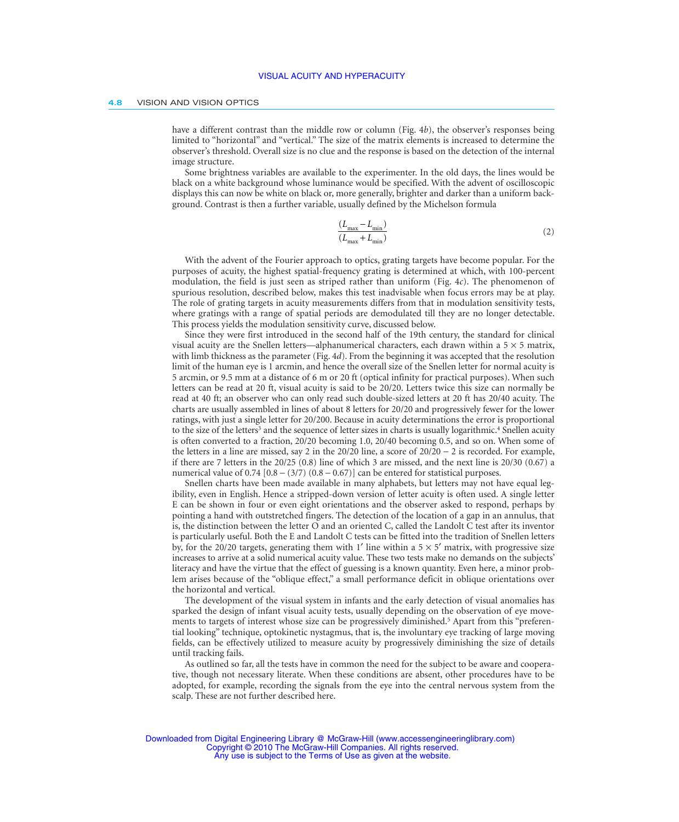have a different contrast than the middle row or column (Fig. 4*b*), the observer's responses being limited to "horizontal" and "vertical." The size of the matrix elements is increased to determine the observer's threshold. Overall size is no clue and the response is based on the detection of the internal image structure.

Some brightness variables are available to the experimenter. In the old days, the lines would be black on a white background whose luminance would be specified. With the advent of oscilloscopic displays this can now be white on black or, more generally, brighter and darker than a uniform background. Contrast is then a further variable, usually defined by the Michelson formula

$$
\frac{(L_{\text{max}} - L_{\text{min}})}{(L_{\text{max}} + L_{\text{min}})}
$$
\n(2)

With the advent of the Fourier approach to optics, grating targets have become popular. For the purposes of acuity, the highest spatial-frequency grating is determined at which, with 100-percent modulation, the field is just seen as striped rather than uniform (Fig. 4*c*). The phenomenon of spurious resolution, described below, makes this test inadvisable when focus errors may be at play. The role of grating targets in acuity measurements differs from that in modulation sensitivity tests, where gratings with a range of spatial periods are demodulated till they are no longer detectable. This process yields the modulation sensitivity curve, discussed below.

Since they were first introduced in the second half of the 19th century, the standard for clinical visual acuity are the Snellen letters—alphanumerical characters, each drawn within a  $5 \times 5$  matrix, with limb thickness as the parameter (Fig. 4*d*). From the beginning it was accepted that the resolution limit of the human eye is 1 arcmin, and hence the overall size of the Snellen letter for normal acuity is 5 arcmin, or 9.5 mm at a distance of 6 m or 20 ft (optical infinity for practical purposes). When such letters can be read at 20 ft, visual acuity is said to be 20/20. Letters twice this size can normally be read at 40 ft; an observer who can only read such double-sized letters at 20 ft has 20/40 acuity. The charts are usually assembled in lines of about 8 letters for 20/20 and progressively fewer for the lower ratings, with just a single letter for 20/200. Because in acuity determinations the error is proportional to the size of the letters<sup>3</sup> and the sequence of letter sizes in charts is usually logarithmic.<sup>4</sup> Snellen acuity is often converted to a fraction, 20/20 becoming 1.0, 20/40 becoming 0.5, and so on. When some of the letters in a line are missed, say 2 in the 20/20 line, a score of  $20/20 - 2$  is recorded. For example, if there are 7 letters in the 20/25 (0.8) line of which 3 are missed, and the next line is 20/30 (0.67) a numerical value of  $0.74$  [ $0.8 - (3/7)$  ( $0.8 - 0.67$ )] can be entered for statistical purposes.

Snellen charts have been made available in many alphabets, but letters may not have equal legibility, even in English. Hence a stripped-down version of letter acuity is often used. A single letter E can be shown in four or even eight orientations and the observer asked to respond, perhaps by pointing a hand with outstretched fingers. The detection of the location of a gap in an annulus, that is, the distinction between the letter O and an oriented C, called the Landolt C test after its inventor is particularly useful. Both the E and Landolt C tests can be fitted into the tradition of Snellen letters by, for the 20/20 targets, generating them with 1' line within a  $5 \times 5'$  matrix, with progressive size increases to arrive at a solid numerical acuity value. These two tests make no demands on the subjects' literacy and have the virtue that the effect of guessing is a known quantity. Even here, a minor problem arises because of the "oblique effect," a small performance deficit in oblique orientations over the horizontal and vertical.

The development of the visual system in infants and the early detection of visual anomalies has sparked the design of infant visual acuity tests, usually depending on the observation of eye movements to targets of interest whose size can be progressively diminished.<sup>5</sup> Apart from this "preferential looking" technique, optokinetic nystagmus, that is, the involuntary eye tracking of large moving fields, can be effectively utilized to measure acuity by progressively diminishing the size of details until tracking fails.

As outlined so far, all the tests have in common the need for the subject to be aware and cooperative, though not necessary literate. When these conditions are absent, other procedures have to be adopted, for example, recording the signals from the eye into the central nervous system from the scalp. These are not further described here.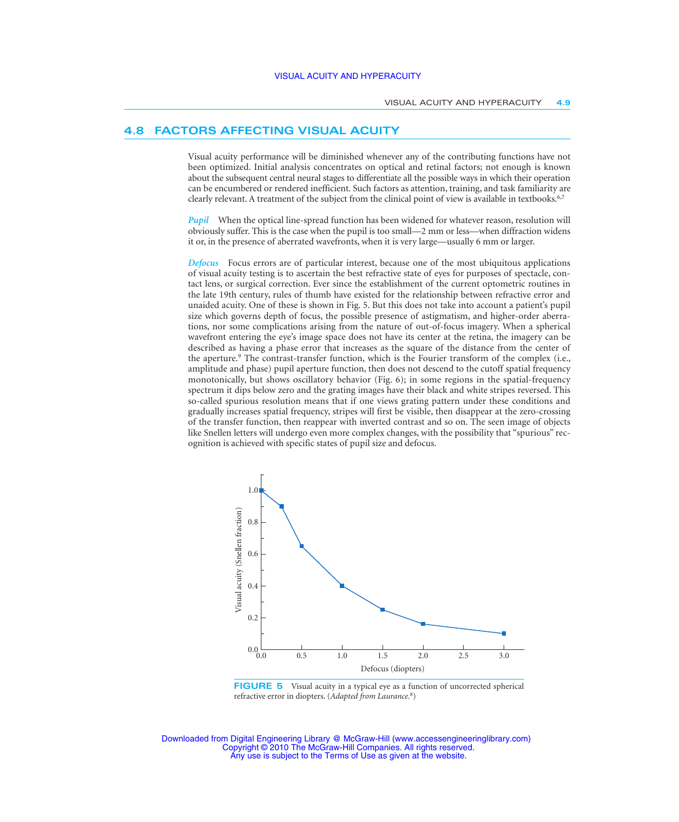## **4.8 FACTORS AFFECTING VISUAL ACUITY**

Visual acuity performance will be diminished whenever any of the contributing functions have not been optimized. Initial analysis concentrates on optical and retinal factors; not enough is known about the subsequent central neural stages to differentiate all the possible ways in which their operation can be encumbered or rendered inefficient. Such factors as attention, training, and task familiarity are clearly relevant. A treatment of the subject from the clinical point of view is available in textbooks.<sup>6,7</sup>

*Pupil* When the optical line-spread function has been widened for whatever reason, resolution will obviously suffer. This is the case when the pupil is too small—2 mm or less—when diffraction widens it or, in the presence of aberrated wavefronts, when it is very large—usually 6 mm or larger.

*Defocus* Focus errors are of particular interest, because one of the most ubiquitous applications of visual acuity testing is to ascertain the best refractive state of eyes for purposes of spectacle, contact lens, or surgical correction. Ever since the establishment of the current optometric routines in the late 19th century, rules of thumb have existed for the relationship between refractive error and unaided acuity. One of these is shown in Fig. 5. But this does not take into account a patient's pupil size which governs depth of focus, the possible presence of astigmatism, and higher-order aberrations, nor some complications arising from the nature of out-of-focus imagery. When a spherical wavefront entering the eye's image space does not have its center at the retina, the imagery can be described as having a phase error that increases as the square of the distance from the center of the aperture.<sup>9</sup> The contrast-transfer function, which is the Fourier transform of the complex (i.e., amplitude and phase) pupil aperture function, then does not descend to the cutoff spatial frequency monotonically, but shows oscillatory behavior (Fig. 6); in some regions in the spatial-frequency spectrum it dips below zero and the grating images have their black and white stripes reversed. This so-called spurious resolution means that if one views grating pattern under these conditions and gradually increases spatial frequency, stripes will first be visible, then disappear at the zero-crossing of the transfer function, then reappear with inverted contrast and so on. The seen image of objects like Snellen letters will undergo even more complex changes, with the possibility that "spurious" recognition is achieved with specific states of pupil size and defocus.



**FIGURE 5** Visual acuity in a typical eye as a function of uncorrected spherical refractive error in diopters. (*Adapted from Laurance.*<sup>8</sup> )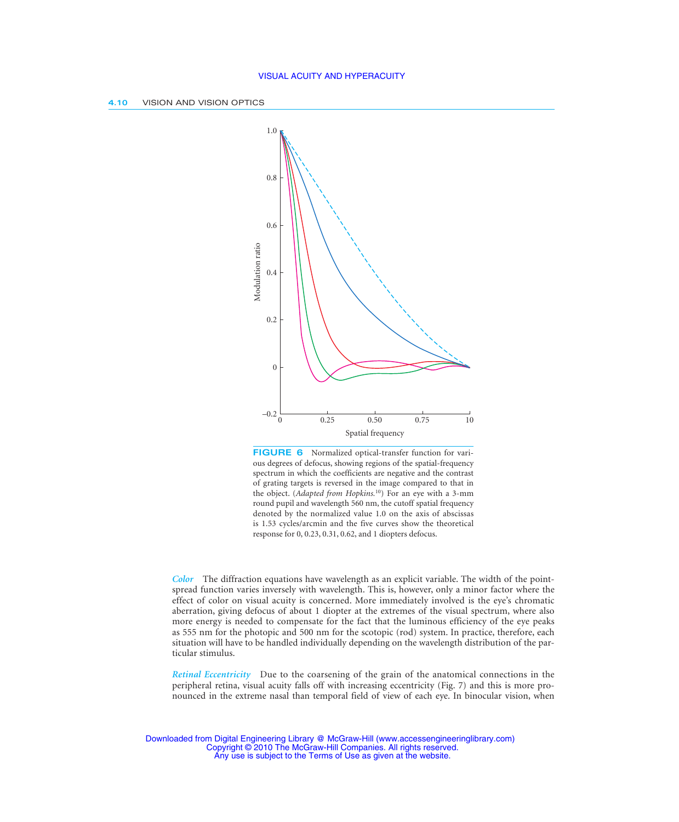

**FIGURE 6** Normalized optical-transfer function for various degrees of defocus, showing regions of the spatial-frequency spectrum in which the coefficients are negative and the contrast of grating targets is reversed in the image compared to that in the object. (*Adapted from Hopkins.*10) For an eye with a 3-mm round pupil and wavelength 560 nm, the cutoff spatial frequency denoted by the normalized value 1.0 on the axis of abscissas is 1.53 cycles/arcmin and the five curves show the theoretical response for 0, 0.23, 0.31, 0.62, and 1 diopters defocus.

*Color* The diffraction equations have wavelength as an explicit variable. The width of the pointspread function varies inversely with wavelength. This is, however, only a minor factor where the effect of color on visual acuity is concerned. More immediately involved is the eye's chromatic aberration, giving defocus of about 1 diopter at the extremes of the visual spectrum, where also more energy is needed to compensate for the fact that the luminous efficiency of the eye peaks as 555 nm for the photopic and 500 nm for the scotopic (rod) system. In practice, therefore, each situation will have to be handled individually depending on the wavelength distribution of the particular stimulus.

*Retinal Eccentricity* Due to the coarsening of the grain of the anatomical connections in the peripheral retina, visual acuity falls off with increasing eccentricity (Fig. 7) and this is more pronounced in the extreme nasal than temporal field of view of each eye. In binocular vision, when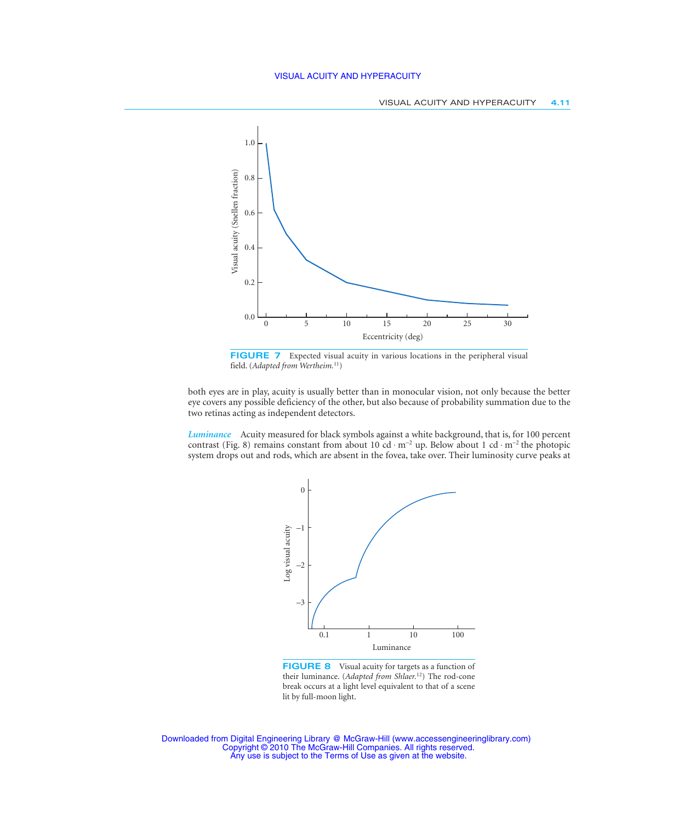



both eyes are in play, acuity is usually better than in monocular vision, not only because the better eye covers any possible deficiency of the other, but also because of probability summation due to the two retinas acting as independent detectors.

*Luminance* Acuity measured for black symbols against a white background, that is, for 100 percent contrast (Fig. 8) remains constant from about 10 cd ⋅ m<sup>-2</sup> up. Below about 1 cd ⋅ m<sup>-2</sup> the photopic system drops out and rods, which are absent in the fovea, take over. Their luminosity curve peaks at



**FIGURE 8** Visual acuity for targets as a function of their luminance. (*Adapted from Shlaer.*12) The rod-cone break occurs at a light level equivalent to that of a scene lit by full-moon light.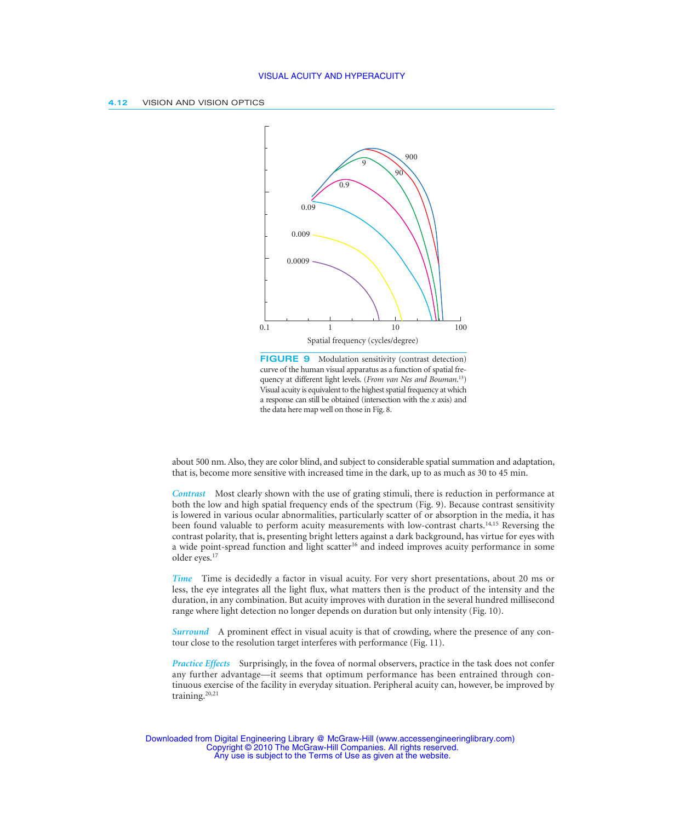

**FIGURE 9** Modulation sensitivity (contrast detection) curve of the human visual apparatus as a function of spatial frequency at different light levels. (*From van Nes and Bouman*. 13) Visual acuity is equivalent to the highest spatial frequency at which a response can still be obtained (intersection with the *x* axis) and the data here map well on those in Fig. 8.

about 500 nm. Also, they are color blind, and subject to considerable spatial summation and adaptation, that is, become more sensitive with increased time in the dark, up to as much as 30 to 45 min.

*Contrast* Most clearly shown with the use of grating stimuli, there is reduction in performance at both the low and high spatial frequency ends of the spectrum (Fig. 9). Because contrast sensitivity is lowered in various ocular abnormalities, particularly scatter of or absorption in the media, it has been found valuable to perform acuity measurements with low-contrast charts.14,15 Reversing the contrast polarity, that is, presenting bright letters against a dark background, has virtue for eyes with a wide point-spread function and light scatter<sup>16</sup> and indeed improves acuity performance in some older eyes.17

*Time* Time is decidedly a factor in visual acuity. For very short presentations, about 20 ms or less, the eye integrates all the light flux, what matters then is the product of the intensity and the duration, in any combination. But acuity improves with duration in the several hundred millisecond range where light detection no longer depends on duration but only intensity (Fig. 10).

*Surround* A prominent effect in visual acuity is that of crowding, where the presence of any contour close to the resolution target interferes with performance (Fig. 11).

*Practice Effects* Surprisingly, in the fovea of normal observers, practice in the task does not confer any further advantage—it seems that optimum performance has been entrained through continuous exercise of the facility in everyday situation. Peripheral acuity can, however, be improved by training.20,21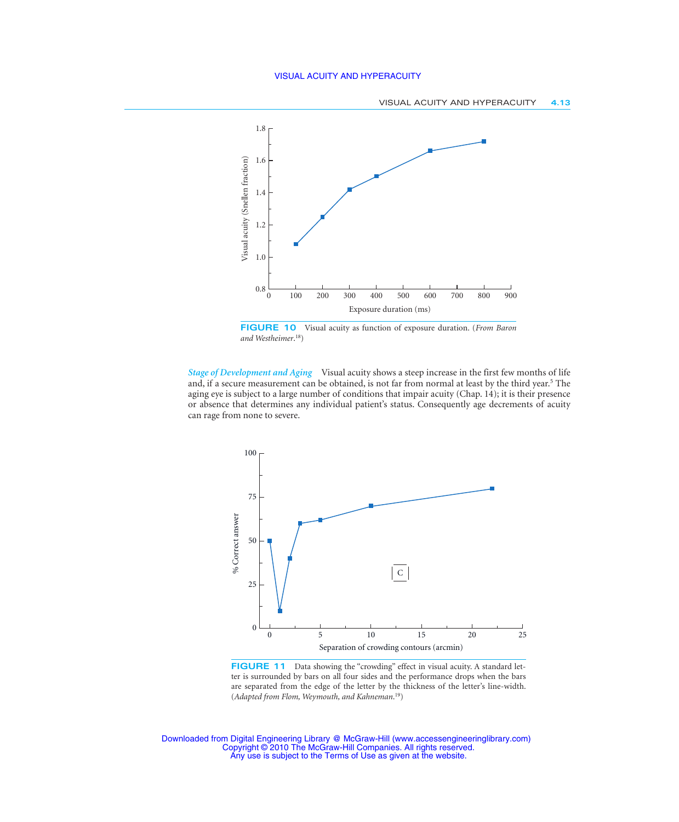

**FIGURE 10** Visual acuity as function of exposure duration. (*From Baron and Westheimer*. 18)

*Stage of Development and Aging* Visual acuity shows a steep increase in the first few months of life and, if a secure measurement can be obtained, is not far from normal at least by the third year.<sup>5</sup> The aging eye is subject to a large number of conditions that impair acuity (Chap. 14); it is their presence or absence that determines any individual patient's status. Consequently age decrements of acuity can rage from none to severe.



**FIGURE 11** Data showing the "crowding" effect in visual acuity. A standard letter is surrounded by bars on all four sides and the performance drops when the bars are separated from the edge of the letter by the thickness of the letter's line-width. (*Adapted from Flom, Weymouth, and Kahneman*. 19)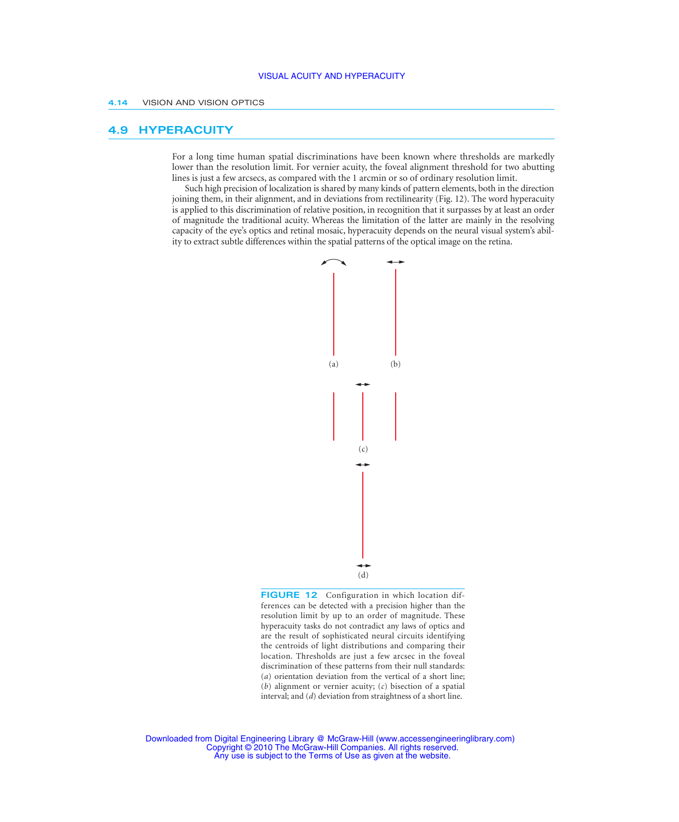## **4.9 HYPERACUITY**

For a long time human spatial discriminations have been known where thresholds are markedly lower than the resolution limit. For vernier acuity, the foveal alignment threshold for two abutting lines is just a few arcsecs, as compared with the 1 arcmin or so of ordinary resolution limit.

Such high precision of localization is shared by many kinds of pattern elements, both in the direction joining them, in their alignment, and in deviations from rectilinearity (Fig. 12). The word hyperacuity is applied to this discrimination of relative position, in recognition that it surpasses by at least an order of magnitude the traditional acuity. Whereas the limitation of the latter are mainly in the resolving capacity of the eye's optics and retinal mosaic, hyperacuity depends on the neural visual system's ability to extract subtle differences within the spatial patterns of the optical image on the retina.



**FIGURE 12** Configuration in which location differences can be detected with a precision higher than the resolution limit by up to an order of magnitude. These hyperacuity tasks do not contradict any laws of optics and are the result of sophisticated neural circuits identifying the centroids of light distributions and comparing their location. Thresholds are just a few arcsec in the foveal discrimination of these patterns from their null standards: (*a*) orientation deviation from the vertical of a short line; (*b*) alignment or vernier acuity; (*c*) bisection of a spatial interval; and (*d*) deviation from straightness of a short line.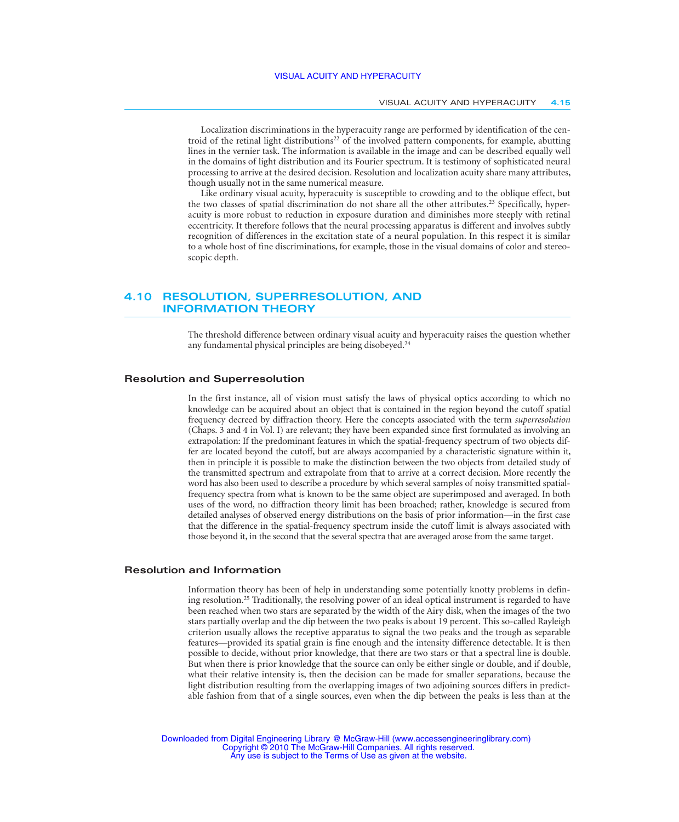Localization discriminations in the hyperacuity range are performed by identification of the centroid of the retinal light distributions<sup>22</sup> of the involved pattern components, for example, abutting lines in the vernier task. The information is available in the image and can be described equally well in the domains of light distribution and its Fourier spectrum. It is testimony of sophisticated neural processing to arrive at the desired decision. Resolution and localization acuity share many attributes, though usually not in the same numerical measure.

Like ordinary visual acuity, hyperacuity is susceptible to crowding and to the oblique effect, but the two classes of spatial discrimination do not share all the other attributes.<sup>23</sup> Specifically, hyperacuity is more robust to reduction in exposure duration and diminishes more steeply with retinal eccentricity. It therefore follows that the neural processing apparatus is different and involves subtly recognition of differences in the excitation state of a neural population. In this respect it is similar to a whole host of fine discriminations, for example, those in the visual domains of color and stereoscopic depth.

## **4.10 RESOLUTION, SUPERRESOLUTION, AND INFORMATION THEORY**

The threshold difference between ordinary visual acuity and hyperacuity raises the question whether any fundamental physical principles are being disobeyed.<sup>24</sup>

#### **Resolution and Superresolution**

In the first instance, all of vision must satisfy the laws of physical optics according to which no knowledge can be acquired about an object that is contained in the region beyond the cutoff spatial frequency decreed by diffraction theory. Here the concepts associated with the term *superresolution*  (Chaps. 3 and 4 in Vol. I) are relevant; they have been expanded since first formulated as involving an extrapolation: If the predominant features in which the spatial-frequency spectrum of two objects differ are located beyond the cutoff, but are always accompanied by a characteristic signature within it, then in principle it is possible to make the distinction between the two objects from detailed study of the transmitted spectrum and extrapolate from that to arrive at a correct decision. More recently the word has also been used to describe a procedure by which several samples of noisy transmitted spatialfrequency spectra from what is known to be the same object are superimposed and averaged. In both uses of the word, no diffraction theory limit has been broached; rather, knowledge is secured from detailed analyses of observed energy distributions on the basis of prior information—in the first case that the difference in the spatial-frequency spectrum inside the cutoff limit is always associated with those beyond it, in the second that the several spectra that are averaged arose from the same target.

#### **Resolution and Information**

Information theory has been of help in understanding some potentially knotty problems in defining resolution.25 Traditionally, the resolving power of an ideal optical instrument is regarded to have been reached when two stars are separated by the width of the Airy disk, when the images of the two stars partially overlap and the dip between the two peaks is about 19 percent. This so-called Rayleigh criterion usually allows the receptive apparatus to signal the two peaks and the trough as separable features—provided its spatial grain is fine enough and the intensity difference detectable. It is then possible to decide, without prior knowledge, that there are two stars or that a spectral line is double. But when there is prior knowledge that the source can only be either single or double, and if double, what their relative intensity is, then the decision can be made for smaller separations, because the light distribution resulting from the overlapping images of two adjoining sources differs in predictable fashion from that of a single sources, even when the dip between the peaks is less than at the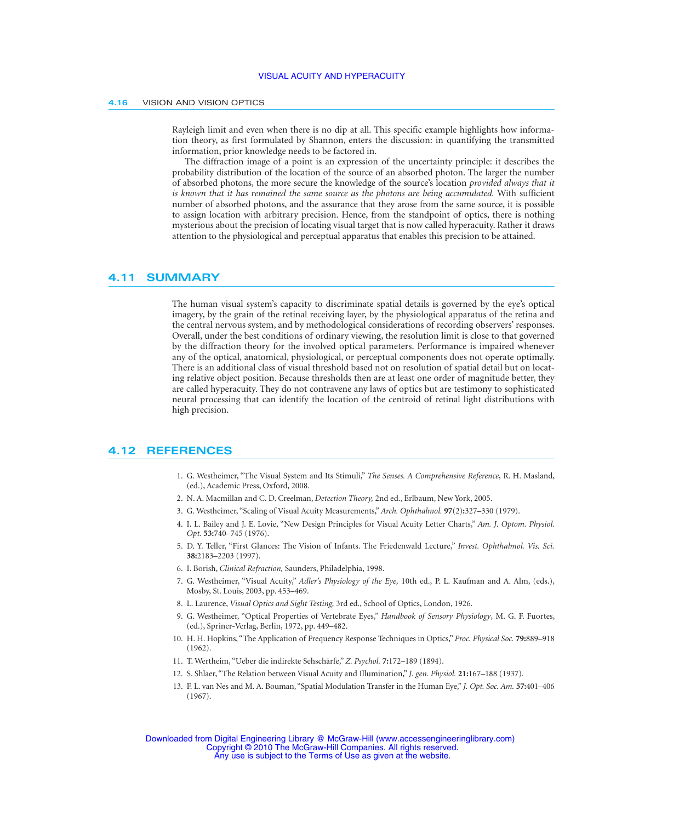Rayleigh limit and even when there is no dip at all. This specific example highlights how information theory, as first formulated by Shannon, enters the discussion: in quantifying the transmitted information, prior knowledge needs to be factored in.

The diffraction image of a point is an expression of the uncertainty principle: it describes the probability distribution of the location of the source of an absorbed photon. The larger the number of absorbed photons, the more secure the knowledge of the source's location *provided always that it is known that it has remained the same source as the photons are being accumulated.* With sufficient number of absorbed photons, and the assurance that they arose from the same source, it is possible to assign location with arbitrary precision. Hence, from the standpoint of optics, there is nothing mysterious about the precision of locating visual target that is now called hyperacuity. Rather it draws attention to the physiological and perceptual apparatus that enables this precision to be attained.

#### **4.11 SUMMARY**

The human visual system's capacity to discriminate spatial details is governed by the eye's optical imagery, by the grain of the retinal receiving layer, by the physiological apparatus of the retina and the central nervous system, and by methodological considerations of recording observers' responses. Overall, under the best conditions of ordinary viewing, the resolution limit is close to that governed by the diffraction theory for the involved optical parameters. Performance is impaired whenever any of the optical, anatomical, physiological, or perceptual components does not operate optimally. There is an additional class of visual threshold based not on resolution of spatial detail but on locating relative object position. Because thresholds then are at least one order of magnitude better, they are called hyperacuity. They do not contravene any laws of optics but are testimony to sophisticated neural processing that can identify the location of the centroid of retinal light distributions with high precision.

## **4.12 REFERENCES**

- 1. G. Westheimer, "The Visual System and Its Stimuli," *The Senses. A Comprehensive Reference*, R. H. Masland, (ed.), Academic Press, Oxford, 2008.
- 2. N. A. Macmillan and C. D. Creelman, *Detection Theory,* 2nd ed., Erlbaum, New York, 2005.
- 3. G. Westheimer, "Scaling of Visual Acuity Measurements," *Arch. Ophthalmol.* **97**(2)**:**327–330 (1979).
- 4. I. L. Bailey and J. E. Lovie, "New Design Principles for Visual Acuity Letter Charts," *Am. J. Optom. Physiol. Opt.* **53:**740–745 (1976).
- 5. D. Y. Teller, "First Glances: The Vision of Infants. The Friedenwald Lecture," *Invest. Ophthalmol. Vis. Sci.* **38:**2183–2203 (1997).
- 6. I. Borish, *Clinical Refraction,* Saunders, Philadelphia, 1998.
- 7. G. Westheimer, "Visual Acuity," *Adler's Physiology of the Eye,* 10th ed., P. L. Kaufman and A. Alm, (eds.), Mosby, St. Louis, 2003, pp. 453–469.
- 8. L. Laurence, *Visual Optics and Sight Testing,* 3rd ed., School of Optics, London, 1926.
- 9. G. Westheimer, "Optical Properties of Vertebrate Eyes," *Handbook of Sensory Physiology*, M. G. F. Fuortes, (ed.), Spriner-Verlag, Berlin, 1972, pp. 449–482.
- 10. H. H. Hopkins, "The Application of Frequency Response Techniques in Optics," *Proc. Physical Soc.* **79:**889–918 (1962).
- 11. T. Wertheim, "Ueber die indirekte Sehschärfe," *Z. Psychol.* **7:**172–189 (1894).
- 12. S. Shlaer, "The Relation between Visual Acuity and Illumination," *J. gen. Physiol.* **21:**167–188 (1937).
- 13. F. L. van Nes and M. A. Bouman, "Spatial Modulation Transfer in the Human Eye," *J. Opt. Soc. Am.* **57:**401–406 (1967).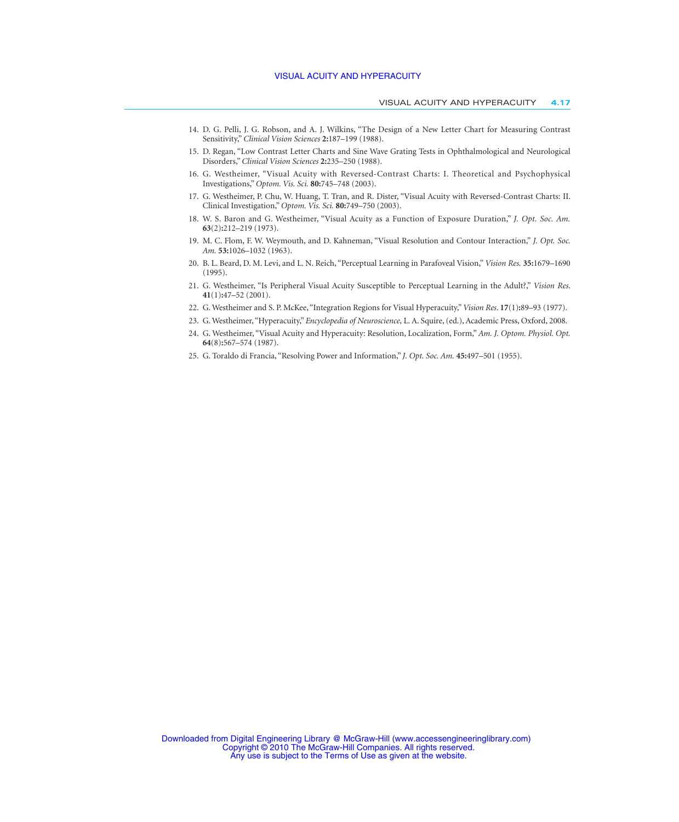- 14. D. G. Pelli, J. G. Robson, and A. J. Wilkins, "The Design of a New Letter Chart for Measuring Contrast Sensitivity," *Clinical Vision Sciences* **2:**187–199 (1988).
- 15. D. Regan, "Low Contrast Letter Charts and Sine Wave Grating Tests in Ophthalmological and Neurological Disorders," *Clinical Vision Sciences* **2:**235–250 (1988).
- 16. G. Westheimer, "Visual Acuity with Reversed-Contrast Charts: I. Theoretical and Psychophysical Investigations," *Optom. Vis. Sci.* **80:**745–748 (2003).
- 17. G. Westheimer, P. Chu, W. Huang, T. Tran, and R. Dister, "Visual Acuity with Reversed-Contrast Charts: II. Clinical Investigation," *Optom. Vis. Sci.* **80:**749–750 (2003).
- 18. W. S. Baron and G. Westheimer, "Visual Acuity as a Function of Exposure Duration," *J. Opt. Soc. Am.* **63**(2)**:**212–219 (1973).
- 19. M. C. Flom, F. W. Weymouth, and D. Kahneman, "Visual Resolution and Contour Interaction," *J. Opt. Soc. Am.* **53:**1026–1032 (1963).
- 20. B. L. Beard, D. M. Levi, and L. N. Reich, "Perceptual Learning in Parafoveal Vision," *Vision Res.* **35:**1679–1690 (1995).
- 21. G. Westheimer, "Is Peripheral Visual Acuity Susceptible to Perceptual Learning in the Adult?," *Vision Res*. **41**(1)**:**47–52 (2001).
- 22. G. Westheimer and S. P. McKee, "Integration Regions for Visual Hyperacuity," *Vision Res*. **17**(1)**:**89–93 (1977).
- 23. G. Westheimer, "Hyperacuity," *Encyclopedia of Neuroscience*, L. A. Squire, (ed.), Academic Press, Oxford, 2008.
- 24. G. Westheimer, "Visual Acuity and Hyperacuity: Resolution, Localization, Form," *Am. J. Optom. Physiol. Opt.* **64**(8)**:**567–574 (1987).
- 25. G. Toraldo di Francia, "Resolving Power and Information," *J. Opt. Soc. Am.* **45:**497–501 (1955).